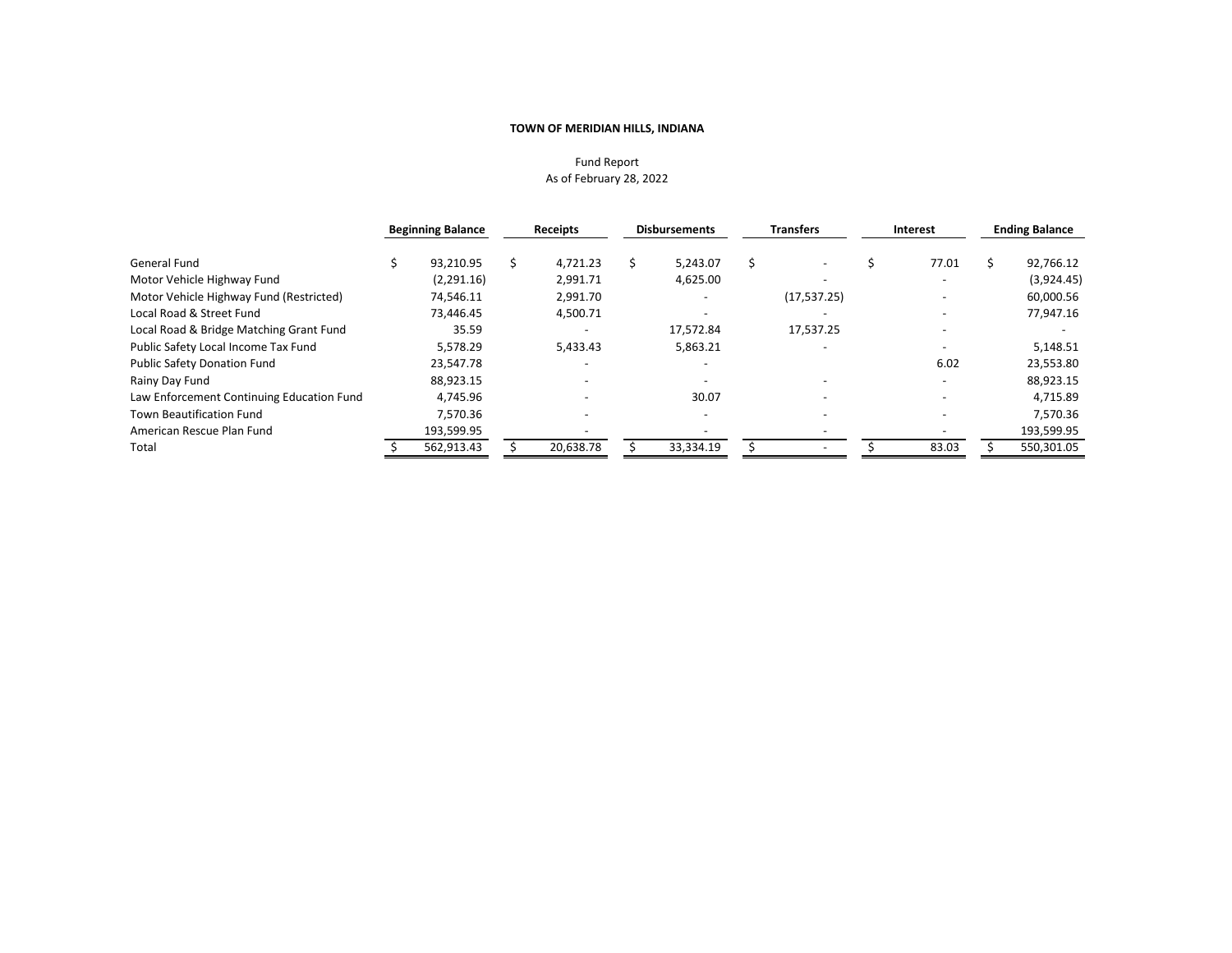# Fund Report As of February 28, 2022

|                                           | <b>Beginning Balance</b> | <b>Receipts</b> | <b>Disbursements</b> |   | <b>Transfers</b>         | Interest                 | <b>Ending Balance</b> |
|-------------------------------------------|--------------------------|-----------------|----------------------|---|--------------------------|--------------------------|-----------------------|
| General Fund                              | 93,210.95                | 4,721.23        | 5.243.07             | Ŝ |                          | 77.01                    | 92,766.12             |
| Motor Vehicle Highway Fund                | (2,291.16)               | 2,991.71        | 4,625.00             |   | $\overline{\phantom{a}}$ |                          | (3,924.45)            |
| Motor Vehicle Highway Fund (Restricted)   | 74,546.11                | 2,991.70        |                      |   | (17, 537.25)             |                          | 60,000.56             |
| Local Road & Street Fund                  | 73,446.45                | 4,500.71        |                      |   |                          |                          | 77,947.16             |
| Local Road & Bridge Matching Grant Fund   | 35.59                    |                 | 17.572.84            |   | 17.537.25                | $\overline{\phantom{a}}$ |                       |
| Public Safety Local Income Tax Fund       | 5.578.29                 | 5,433.43        | 5,863.21             |   |                          |                          | 5,148.51              |
| <b>Public Safety Donation Fund</b>        | 23.547.78                |                 |                      |   |                          | 6.02                     | 23,553.80             |
| Rainy Day Fund                            | 88.923.15                |                 |                      |   |                          |                          | 88,923.15             |
| Law Enforcement Continuing Education Fund | 4.745.96                 |                 | 30.07                |   |                          |                          | 4,715.89              |
| <b>Town Beautification Fund</b>           | 7.570.36                 |                 |                      |   |                          | $\overline{\phantom{0}}$ | 7,570.36              |
| American Rescue Plan Fund                 | 193,599.95               |                 |                      |   |                          |                          | 193,599.95            |
| Total                                     | 562,913.43               | 20,638.78       | 33,334.19            |   |                          | 83.03                    | 550,301.05            |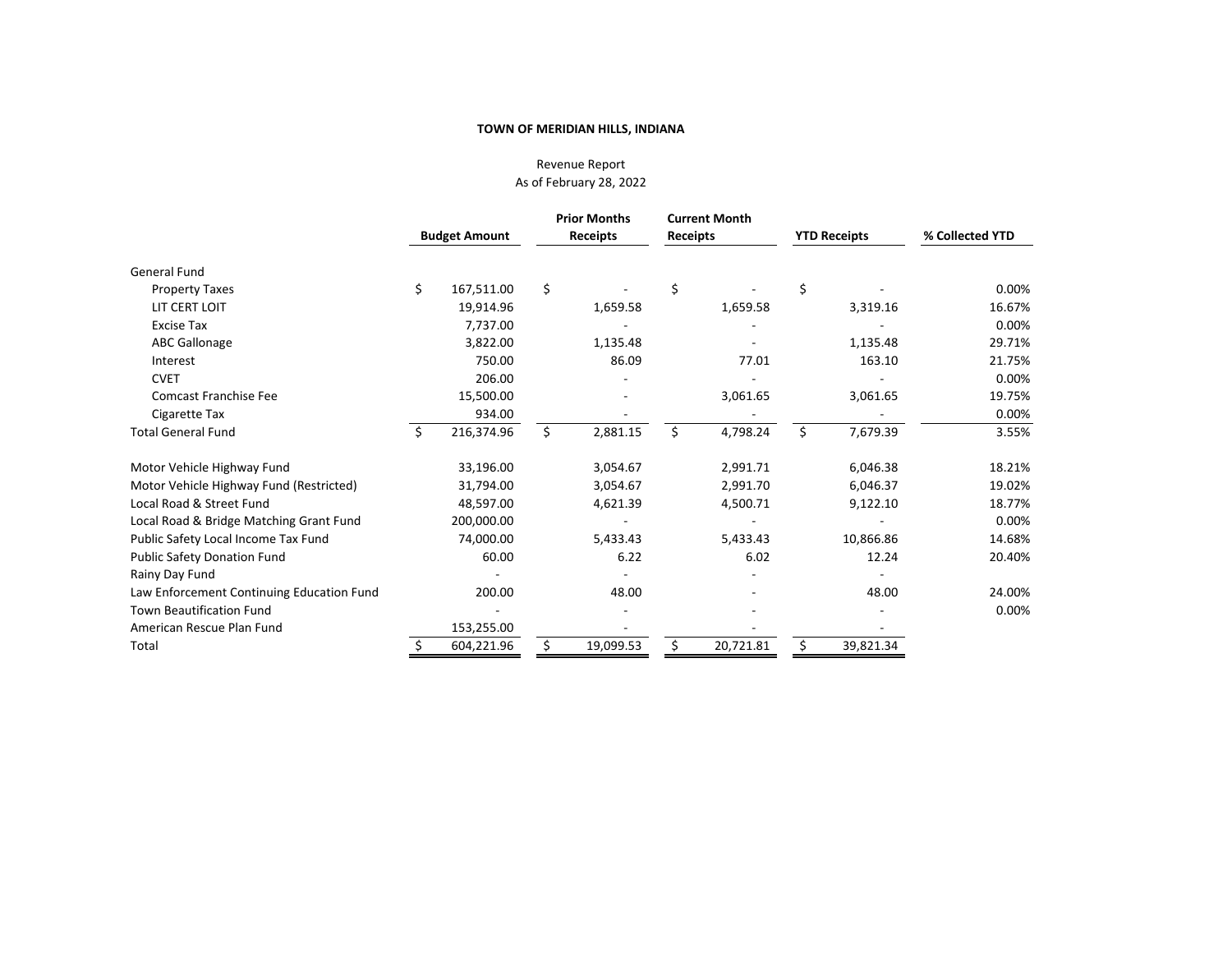# Revenue Report As of February 28, 2022

|                                           | <b>Budget Amount</b> |            | <b>Prior Months</b><br>Receipts | Receipts | <b>Current Month</b> |    | <b>YTD Receipts</b> | % Collected YTD |  |
|-------------------------------------------|----------------------|------------|---------------------------------|----------|----------------------|----|---------------------|-----------------|--|
| <b>General Fund</b>                       |                      |            |                                 |          |                      |    |                     |                 |  |
| <b>Property Taxes</b>                     | \$                   | 167,511.00 | \$                              | \$       |                      | \$ |                     | 0.00%           |  |
| LIT CERT LOIT                             |                      | 19,914.96  | 1,659.58                        |          | 1,659.58             |    | 3,319.16            | 16.67%          |  |
| <b>Excise Tax</b>                         |                      | 7,737.00   |                                 |          |                      |    |                     | 0.00%           |  |
| <b>ABC Gallonage</b>                      |                      | 3,822.00   | 1,135.48                        |          |                      |    | 1,135.48            | 29.71%          |  |
| Interest                                  |                      | 750.00     | 86.09                           |          | 77.01                |    | 163.10              | 21.75%          |  |
| <b>CVET</b>                               |                      | 206.00     |                                 |          |                      |    |                     | 0.00%           |  |
| <b>Comcast Franchise Fee</b>              |                      | 15,500.00  |                                 |          | 3,061.65             |    | 3,061.65            | 19.75%          |  |
| Cigarette Tax                             |                      | 934.00     |                                 |          |                      |    |                     | 0.00%           |  |
| <b>Total General Fund</b>                 | Ś.                   | 216,374.96 | \$<br>2,881.15                  | Ś.       | 4,798.24             | Ś. | 7,679.39            | 3.55%           |  |
| Motor Vehicle Highway Fund                |                      | 33,196.00  | 3,054.67                        |          | 2,991.71             |    | 6,046.38            | 18.21%          |  |
| Motor Vehicle Highway Fund (Restricted)   |                      | 31,794.00  | 3,054.67                        |          | 2,991.70             |    | 6,046.37            | 19.02%          |  |
| Local Road & Street Fund                  |                      | 48,597.00  | 4,621.39                        |          | 4,500.71             |    | 9,122.10            | 18.77%          |  |
| Local Road & Bridge Matching Grant Fund   |                      | 200,000.00 |                                 |          |                      |    |                     | 0.00%           |  |
| Public Safety Local Income Tax Fund       |                      | 74,000.00  | 5,433.43                        |          | 5,433.43             |    | 10,866.86           | 14.68%          |  |
| <b>Public Safety Donation Fund</b>        |                      | 60.00      | 6.22                            |          | 6.02                 |    | 12.24               | 20.40%          |  |
| Rainy Day Fund                            |                      |            |                                 |          |                      |    |                     |                 |  |
| Law Enforcement Continuing Education Fund |                      | 200.00     | 48.00                           |          |                      |    | 48.00               | 24.00%          |  |
| <b>Town Beautification Fund</b>           |                      |            |                                 |          |                      |    |                     | 0.00%           |  |
| American Rescue Plan Fund                 |                      | 153,255.00 |                                 |          |                      |    |                     |                 |  |
| Total                                     |                      | 604,221.96 | 19,099.53                       |          | 20,721.81            |    | 39,821.34           |                 |  |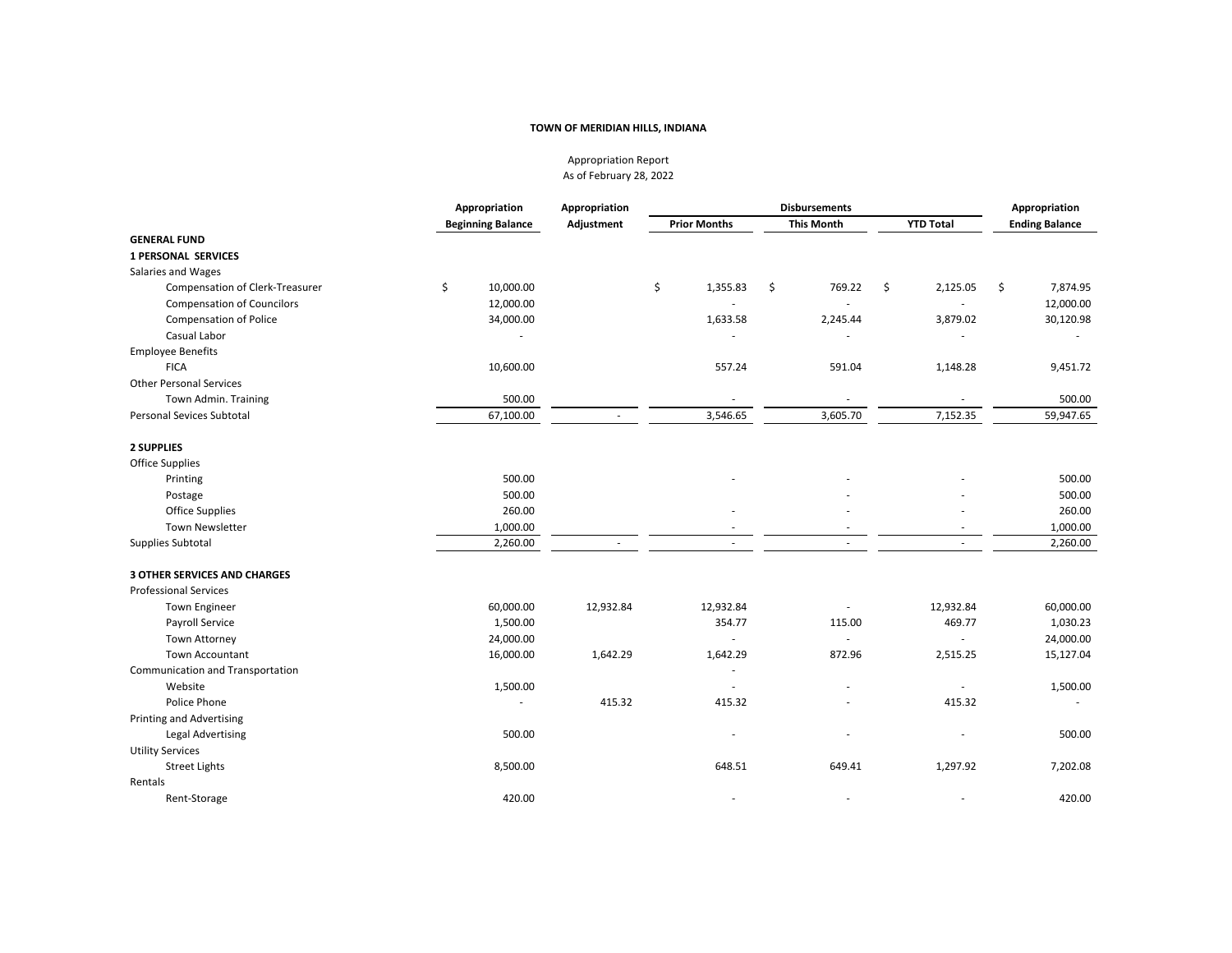Appropriation Report As of February 28, 2022

|                                     | Appropriation            | Appropriation            |                          | <b>Disbursements</b>     |                          |                       |  |
|-------------------------------------|--------------------------|--------------------------|--------------------------|--------------------------|--------------------------|-----------------------|--|
|                                     | <b>Beginning Balance</b> | Adjustment               | <b>Prior Months</b>      | <b>This Month</b>        | <b>YTD Total</b>         | <b>Ending Balance</b> |  |
| <b>GENERAL FUND</b>                 |                          |                          |                          |                          |                          |                       |  |
| <b>1 PERSONAL SERVICES</b>          |                          |                          |                          |                          |                          |                       |  |
| Salaries and Wages                  |                          |                          |                          |                          |                          |                       |  |
| Compensation of Clerk-Treasurer     | \$<br>10,000.00          |                          | \$<br>1,355.83           | \$<br>769.22             | \$<br>2,125.05           | \$<br>7,874.95        |  |
| <b>Compensation of Councilors</b>   | 12,000.00                |                          |                          |                          |                          | 12,000.00             |  |
| Compensation of Police              | 34,000.00                |                          | 1,633.58                 | 2,245.44                 | 3,879.02                 | 30,120.98             |  |
| Casual Labor                        |                          |                          |                          |                          |                          |                       |  |
| <b>Employee Benefits</b>            |                          |                          |                          |                          |                          |                       |  |
| <b>FICA</b>                         | 10,600.00                |                          | 557.24                   | 591.04                   | 1,148.28                 | 9,451.72              |  |
| <b>Other Personal Services</b>      |                          |                          |                          |                          |                          |                       |  |
| Town Admin. Training                | 500.00                   |                          | $\overline{\phantom{a}}$ | $\overline{\phantom{a}}$ | $\overline{\phantom{a}}$ | 500.00                |  |
| <b>Personal Sevices Subtotal</b>    | 67,100.00                | $\overline{\phantom{a}}$ | 3,546.65                 | 3,605.70                 | 7,152.35                 | 59,947.65             |  |
| 2 SUPPLIES                          |                          |                          |                          |                          |                          |                       |  |
| <b>Office Supplies</b>              |                          |                          |                          |                          |                          |                       |  |
| Printing                            | 500.00                   |                          |                          |                          |                          | 500.00                |  |
| Postage                             | 500.00                   |                          |                          |                          |                          | 500.00                |  |
| <b>Office Supplies</b>              | 260.00                   |                          |                          |                          |                          | 260.00                |  |
| <b>Town Newsletter</b>              | 1,000.00                 |                          |                          |                          | $\overline{\phantom{a}}$ | 1,000.00              |  |
| Supplies Subtotal                   | 2,260.00                 | $\sim$                   | ÷.                       | ×                        | $\sim$                   | 2,260.00              |  |
| <b>3 OTHER SERVICES AND CHARGES</b> |                          |                          |                          |                          |                          |                       |  |
| <b>Professional Services</b>        |                          |                          |                          |                          |                          |                       |  |
| <b>Town Engineer</b>                | 60,000.00                | 12,932.84                | 12,932.84                |                          | 12,932.84                | 60,000.00             |  |
| Payroll Service                     | 1,500.00                 |                          | 354.77                   | 115.00                   | 469.77                   | 1,030.23              |  |
| <b>Town Attorney</b>                | 24,000.00                |                          | $\sim$                   |                          | ä,                       | 24,000.00             |  |
| <b>Town Accountant</b>              | 16,000.00                | 1,642.29                 | 1,642.29                 | 872.96                   | 2,515.25                 | 15,127.04             |  |
| Communication and Transportation    |                          |                          | ÷.                       |                          |                          |                       |  |
| Website                             | 1,500.00                 |                          | $\sim$                   |                          |                          | 1,500.00              |  |
| Police Phone                        |                          | 415.32                   | 415.32                   |                          | 415.32                   |                       |  |
| <b>Printing and Advertising</b>     |                          |                          |                          |                          |                          |                       |  |
| <b>Legal Advertising</b>            | 500.00                   |                          |                          |                          |                          | 500.00                |  |
| <b>Utility Services</b>             |                          |                          |                          |                          |                          |                       |  |
| <b>Street Lights</b>                | 8,500.00                 |                          | 648.51                   | 649.41                   | 1,297.92                 | 7,202.08              |  |
| Rentals                             |                          |                          |                          |                          |                          |                       |  |
| Rent-Storage                        | 420.00                   |                          | $\overline{\phantom{a}}$ |                          |                          | 420.00                |  |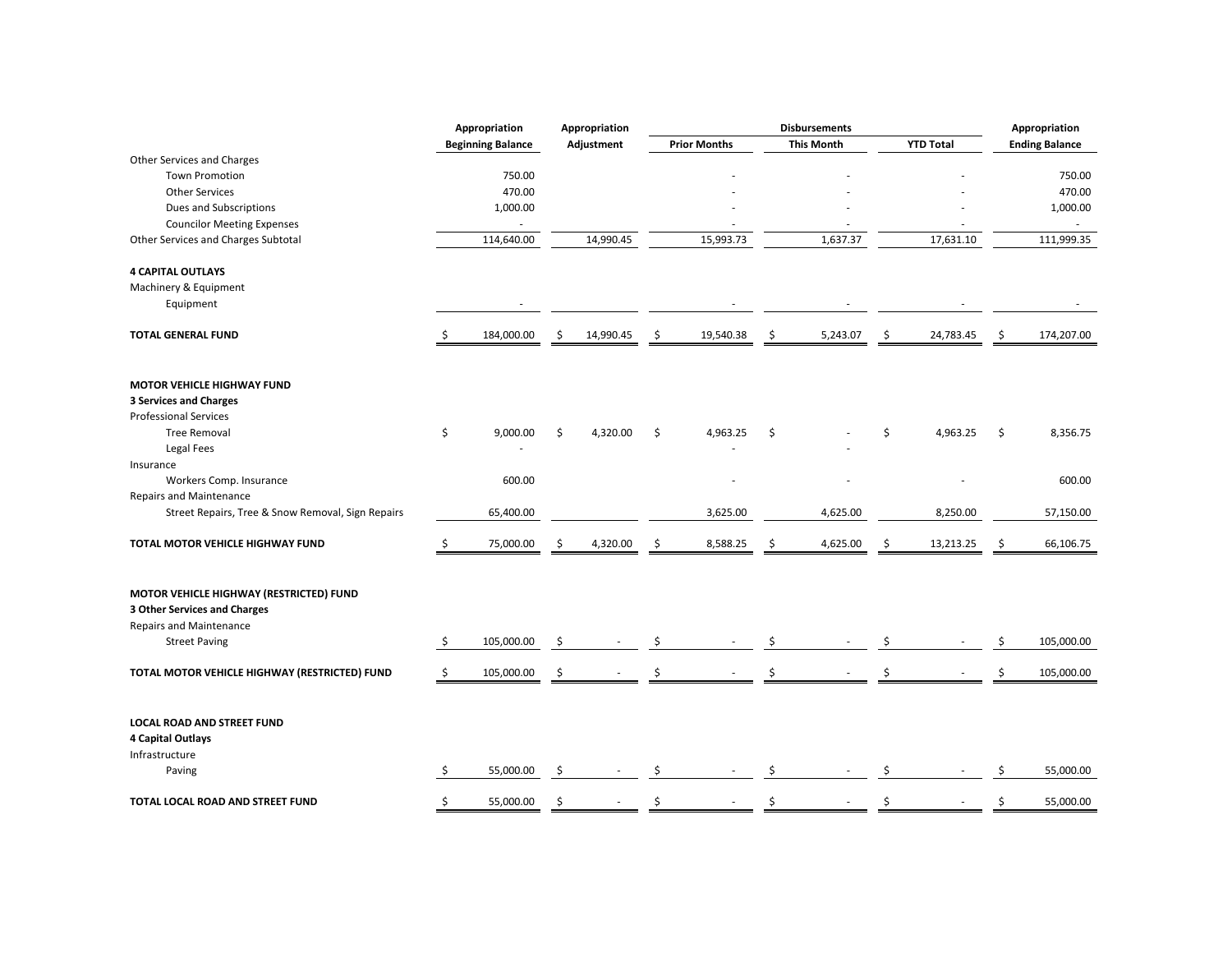|                                                                                | Appropriation            | Appropriation   |    |                     |    | <b>Disbursements</b> |    |                  |    | Appropriation         |
|--------------------------------------------------------------------------------|--------------------------|-----------------|----|---------------------|----|----------------------|----|------------------|----|-----------------------|
|                                                                                | <b>Beginning Balance</b> | Adjustment      |    | <b>Prior Months</b> |    | <b>This Month</b>    |    | <b>YTD Total</b> |    | <b>Ending Balance</b> |
| Other Services and Charges                                                     |                          |                 |    |                     |    |                      |    |                  |    |                       |
| <b>Town Promotion</b>                                                          | 750.00                   |                 |    |                     |    |                      |    |                  |    | 750.00                |
| <b>Other Services</b>                                                          | 470.00                   |                 |    |                     |    |                      |    |                  |    | 470.00                |
| Dues and Subscriptions                                                         | 1,000.00                 |                 |    |                     |    |                      |    |                  |    | 1,000.00              |
| <b>Councilor Meeting Expenses</b>                                              | ÷,                       |                 |    |                     |    |                      |    |                  |    |                       |
| Other Services and Charges Subtotal                                            | 114,640.00               | 14,990.45       |    | 15,993.73           |    | 1,637.37             |    | 17,631.10        |    | 111,999.35            |
| <b>4 CAPITAL OUTLAYS</b>                                                       |                          |                 |    |                     |    |                      |    |                  |    |                       |
| Machinery & Equipment                                                          |                          |                 |    |                     |    |                      |    |                  |    |                       |
| Equipment                                                                      |                          |                 |    |                     |    |                      |    |                  |    |                       |
| <b>TOTAL GENERAL FUND</b>                                                      | \$<br>184,000.00         | \$<br>14,990.45 | \$ | 19,540.38           | \$ | 5,243.07             | \$ | 24,783.45        | Ŝ  | 174,207.00            |
| MOTOR VEHICLE HIGHWAY FUND                                                     |                          |                 |    |                     |    |                      |    |                  |    |                       |
| <b>3 Services and Charges</b>                                                  |                          |                 |    |                     |    |                      |    |                  |    |                       |
| <b>Professional Services</b>                                                   |                          |                 |    |                     |    |                      |    |                  |    |                       |
| <b>Tree Removal</b>                                                            | \$<br>9,000.00           | \$<br>4,320.00  | \$ | 4,963.25            | \$ |                      | \$ | 4,963.25         | \$ | 8,356.75              |
| Legal Fees<br>Insurance                                                        |                          |                 |    |                     |    |                      |    |                  |    |                       |
| Workers Comp. Insurance                                                        | 600.00                   |                 |    |                     |    |                      |    |                  |    | 600.00                |
| <b>Repairs and Maintenance</b>                                                 |                          |                 |    |                     |    |                      |    |                  |    |                       |
| Street Repairs, Tree & Snow Removal, Sign Repairs                              | 65,400.00                |                 |    | 3,625.00            |    | 4,625.00             |    | 8,250.00         |    | 57,150.00             |
| TOTAL MOTOR VEHICLE HIGHWAY FUND                                               | \$<br>75,000.00          | \$<br>4,320.00  | Ś  | 8,588.25            | \$ | 4,625.00             | \$ | 13,213.25        | \$ | 66,106.75             |
| MOTOR VEHICLE HIGHWAY (RESTRICTED) FUND<br><b>3 Other Services and Charges</b> |                          |                 |    |                     |    |                      |    |                  |    |                       |
| <b>Repairs and Maintenance</b><br><b>Street Paving</b>                         | \$<br>105,000.00         | \$              | \$ |                     | \$ |                      | \$ |                  | \$ | 105,000.00            |
|                                                                                |                          |                 |    |                     |    |                      |    |                  |    |                       |
| TOTAL MOTOR VEHICLE HIGHWAY (RESTRICTED) FUND                                  | \$<br>105,000.00         | \$              |    |                     |    |                      |    |                  |    | 105,000.00            |
| LOCAL ROAD AND STREET FUND<br><b>4 Capital Outlays</b>                         |                          |                 |    |                     |    |                      |    |                  |    |                       |
| Infrastructure                                                                 |                          |                 |    |                     |    |                      |    |                  |    |                       |
| Paving                                                                         | \$<br>55,000.00          | \$              | Ś  |                     | Ŝ  |                      | S  |                  | \$ | 55,000.00             |
| TOTAL LOCAL ROAD AND STREET FUND                                               | \$<br>55,000.00          | \$              | \$ |                     | \$ |                      | Ś  |                  | \$ | 55,000.00             |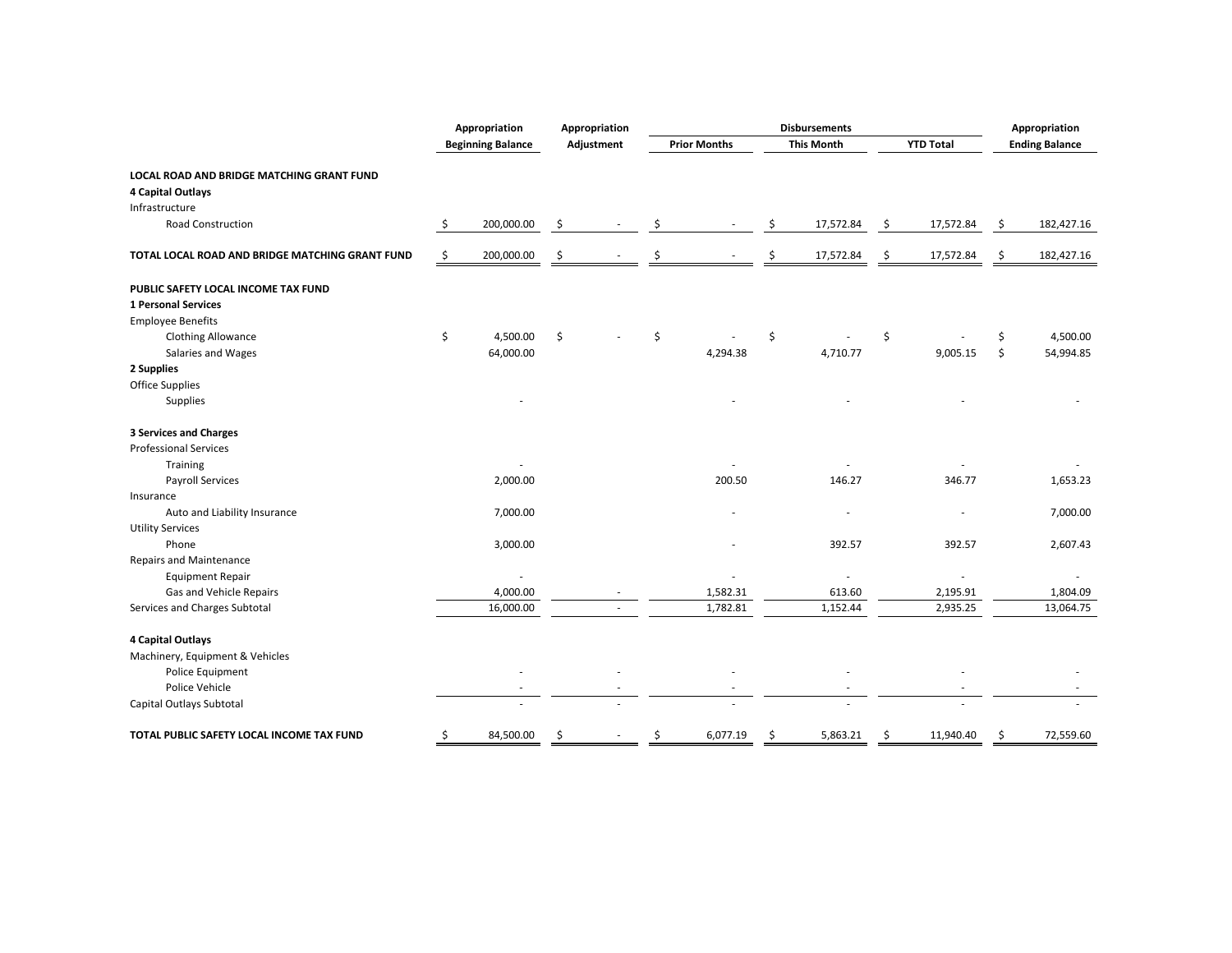|                                                 | Appropriation            | <b>Disbursements</b><br>Appropriation |    |                     | Appropriation            |                  |    |                       |
|-------------------------------------------------|--------------------------|---------------------------------------|----|---------------------|--------------------------|------------------|----|-----------------------|
|                                                 | <b>Beginning Balance</b> | Adjustment                            |    | <b>Prior Months</b> | <b>This Month</b>        | <b>YTD Total</b> |    | <b>Ending Balance</b> |
| LOCAL ROAD AND BRIDGE MATCHING GRANT FUND       |                          |                                       |    |                     |                          |                  |    |                       |
| 4 Capital Outlays                               |                          |                                       |    |                     |                          |                  |    |                       |
| Infrastructure                                  |                          |                                       |    |                     |                          |                  |    |                       |
| <b>Road Construction</b>                        | \$<br>200,000.00         | \$                                    | \$ |                     | \$<br>17,572.84          | \$<br>17,572.84  | \$ | 182,427.16            |
| TOTAL LOCAL ROAD AND BRIDGE MATCHING GRANT FUND | \$<br>200,000.00         | \$                                    |    |                     | 17,572.84                | \$<br>17,572.84  | \$ | 182,427.16            |
| PUBLIC SAFETY LOCAL INCOME TAX FUND             |                          |                                       |    |                     |                          |                  |    |                       |
| <b>1 Personal Services</b>                      |                          |                                       |    |                     |                          |                  |    |                       |
| <b>Employee Benefits</b>                        |                          |                                       |    |                     |                          |                  |    |                       |
| <b>Clothing Allowance</b>                       | \$<br>4,500.00           | \$                                    | \$ |                     | \$                       | \$               | \$ | 4,500.00              |
| Salaries and Wages                              | 64,000.00                |                                       |    | 4,294.38            | 4,710.77                 | 9,005.15         | \$ | 54,994.85             |
| 2 Supplies                                      |                          |                                       |    |                     |                          |                  |    |                       |
| <b>Office Supplies</b>                          |                          |                                       |    |                     |                          |                  |    |                       |
| Supplies                                        |                          |                                       |    |                     |                          |                  |    |                       |
| <b>3 Services and Charges</b>                   |                          |                                       |    |                     |                          |                  |    |                       |
| <b>Professional Services</b>                    |                          |                                       |    |                     |                          |                  |    |                       |
| <b>Training</b>                                 |                          |                                       |    |                     |                          |                  |    |                       |
| <b>Payroll Services</b>                         | 2,000.00                 |                                       |    | 200.50              | 146.27                   | 346.77           |    | 1,653.23              |
| Insurance                                       |                          |                                       |    |                     |                          |                  |    |                       |
| Auto and Liability Insurance                    | 7,000.00                 |                                       |    |                     |                          |                  |    | 7,000.00              |
| <b>Utility Services</b>                         |                          |                                       |    |                     |                          |                  |    |                       |
| Phone                                           | 3,000.00                 |                                       |    |                     | 392.57                   | 392.57           |    | 2,607.43              |
| <b>Repairs and Maintenance</b>                  |                          |                                       |    |                     |                          |                  |    |                       |
| <b>Equipment Repair</b>                         | ä,                       |                                       |    |                     | $\overline{\phantom{a}}$ | ä,               |    | $\sim$                |
| Gas and Vehicle Repairs                         | 4,000.00                 |                                       |    | 1,582.31            | 613.60                   | 2,195.91         |    | 1,804.09              |
| Services and Charges Subtotal                   | 16,000.00                | $\overline{\phantom{a}}$              |    | 1,782.81            | 1,152.44                 | 2,935.25         |    | 13,064.75             |
| 4 Capital Outlays                               |                          |                                       |    |                     |                          |                  |    |                       |
| Machinery, Equipment & Vehicles                 |                          |                                       |    |                     |                          |                  |    |                       |
| Police Equipment                                |                          |                                       |    |                     |                          |                  |    |                       |
| Police Vehicle                                  |                          |                                       |    |                     |                          |                  |    |                       |
| Capital Outlays Subtotal                        |                          |                                       |    |                     |                          |                  |    |                       |
| TOTAL PUBLIC SAFETY LOCAL INCOME TAX FUND       | \$<br>84,500.00          | \$                                    | \$ | 6,077.19            | \$<br>5,863.21           | \$<br>11,940.40  | \$ | 72,559.60             |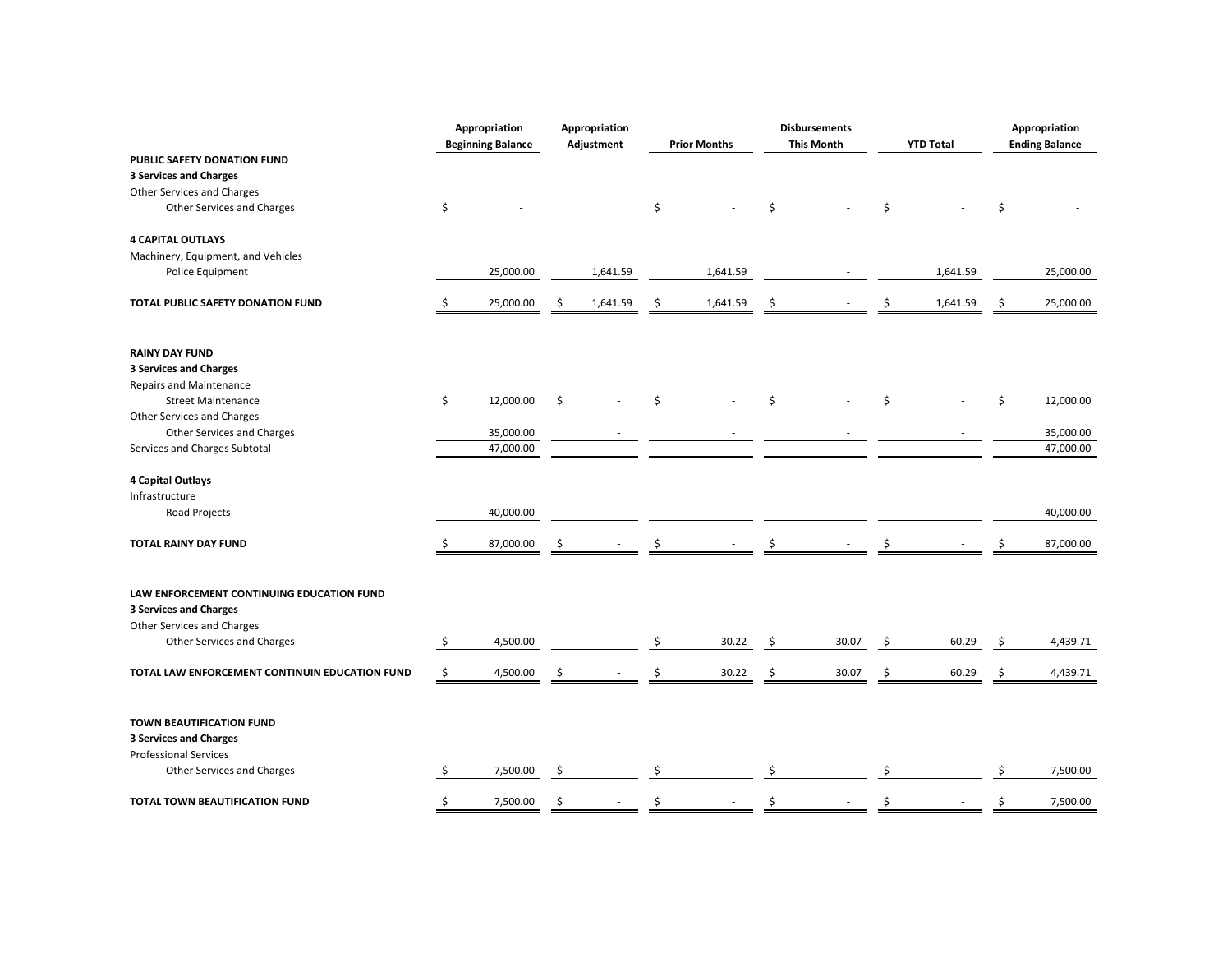|                                                           | Appropriation            |    | Appropriation |    |                     |    | <b>Disbursements</b> |    |                  | Appropriation         |
|-----------------------------------------------------------|--------------------------|----|---------------|----|---------------------|----|----------------------|----|------------------|-----------------------|
|                                                           | <b>Beginning Balance</b> |    | Adjustment    |    | <b>Prior Months</b> |    | <b>This Month</b>    |    | <b>YTD Total</b> | <b>Ending Balance</b> |
| PUBLIC SAFETY DONATION FUND                               |                          |    |               |    |                     |    |                      |    |                  |                       |
| <b>3 Services and Charges</b>                             |                          |    |               |    |                     |    |                      |    |                  |                       |
| Other Services and Charges                                |                          |    |               |    |                     |    |                      |    |                  |                       |
| <b>Other Services and Charges</b>                         | \$                       |    |               | \$ |                     | Ś. |                      | \$ |                  | \$                    |
| <b>4 CAPITAL OUTLAYS</b>                                  |                          |    |               |    |                     |    |                      |    |                  |                       |
| Machinery, Equipment, and Vehicles                        |                          |    |               |    |                     |    |                      |    |                  |                       |
| Police Equipment                                          | 25,000.00                |    | 1,641.59      |    | 1,641.59            |    |                      |    | 1,641.59         | 25,000.00             |
| TOTAL PUBLIC SAFETY DONATION FUND                         | \$<br>25,000.00          | \$ | 1,641.59      | \$ | 1,641.59            | \$ |                      | \$ | 1,641.59         | \$<br>25,000.00       |
| <b>RAINY DAY FUND</b>                                     |                          |    |               |    |                     |    |                      |    |                  |                       |
| <b>3 Services and Charges</b>                             |                          |    |               |    |                     |    |                      |    |                  |                       |
| <b>Repairs and Maintenance</b>                            |                          |    |               |    |                     |    |                      |    |                  |                       |
| <b>Street Maintenance</b>                                 | \$<br>12,000.00          | \$ |               | \$ |                     | \$ |                      | \$ |                  | \$<br>12,000.00       |
| Other Services and Charges                                |                          |    |               |    |                     |    |                      |    |                  |                       |
| Other Services and Charges                                | 35,000.00                |    |               |    |                     |    |                      |    |                  | 35,000.00             |
| Services and Charges Subtotal                             | 47,000.00                |    |               |    |                     |    |                      |    |                  | 47,000.00             |
|                                                           |                          |    |               |    |                     |    |                      |    |                  |                       |
| 4 Capital Outlays                                         |                          |    |               |    |                     |    |                      |    |                  |                       |
| Infrastructure                                            |                          |    |               |    |                     |    |                      |    |                  |                       |
| Road Projects                                             | 40,000.00                |    |               |    |                     |    |                      |    |                  | 40,000.00             |
|                                                           |                          |    |               |    |                     |    |                      |    |                  |                       |
| <b>TOTAL RAINY DAY FUND</b>                               | 87,000.00                | Ś  |               |    |                     |    |                      |    |                  | 87,000.00             |
| LAW ENFORCEMENT CONTINUING EDUCATION FUND                 |                          |    |               |    |                     |    |                      |    |                  |                       |
| <b>3 Services and Charges</b>                             |                          |    |               |    |                     |    |                      |    |                  |                       |
| Other Services and Charges                                |                          |    |               |    |                     |    |                      |    |                  |                       |
| Other Services and Charges                                | \$<br>4,500.00           |    |               | \$ | 30.22               | \$ | 30.07                | \$ | 60.29            | \$<br>4,439.71        |
| TOTAL LAW ENFORCEMENT CONTINUIN EDUCATION FUND            | \$<br>4,500.00           | \$ |               |    | 30.22               | \$ | 30.07                | \$ | 60.29            | \$<br>4,439.71        |
| TOWN BEAUTIFICATION FUND<br><b>3 Services and Charges</b> |                          |    |               |    |                     |    |                      |    |                  |                       |
| <b>Professional Services</b>                              |                          |    |               |    |                     |    |                      |    |                  |                       |
| Other Services and Charges                                | \$<br>7,500.00           | \$ |               | Ŝ  |                     | \$ |                      | Ś  |                  | \$<br>7,500.00        |
|                                                           |                          |    |               |    |                     |    |                      |    |                  |                       |
| TOTAL TOWN BEAUTIFICATION FUND                            | \$<br>7,500.00           | \$ |               | Ś  |                     | Ś  |                      |    |                  | \$<br>7,500.00        |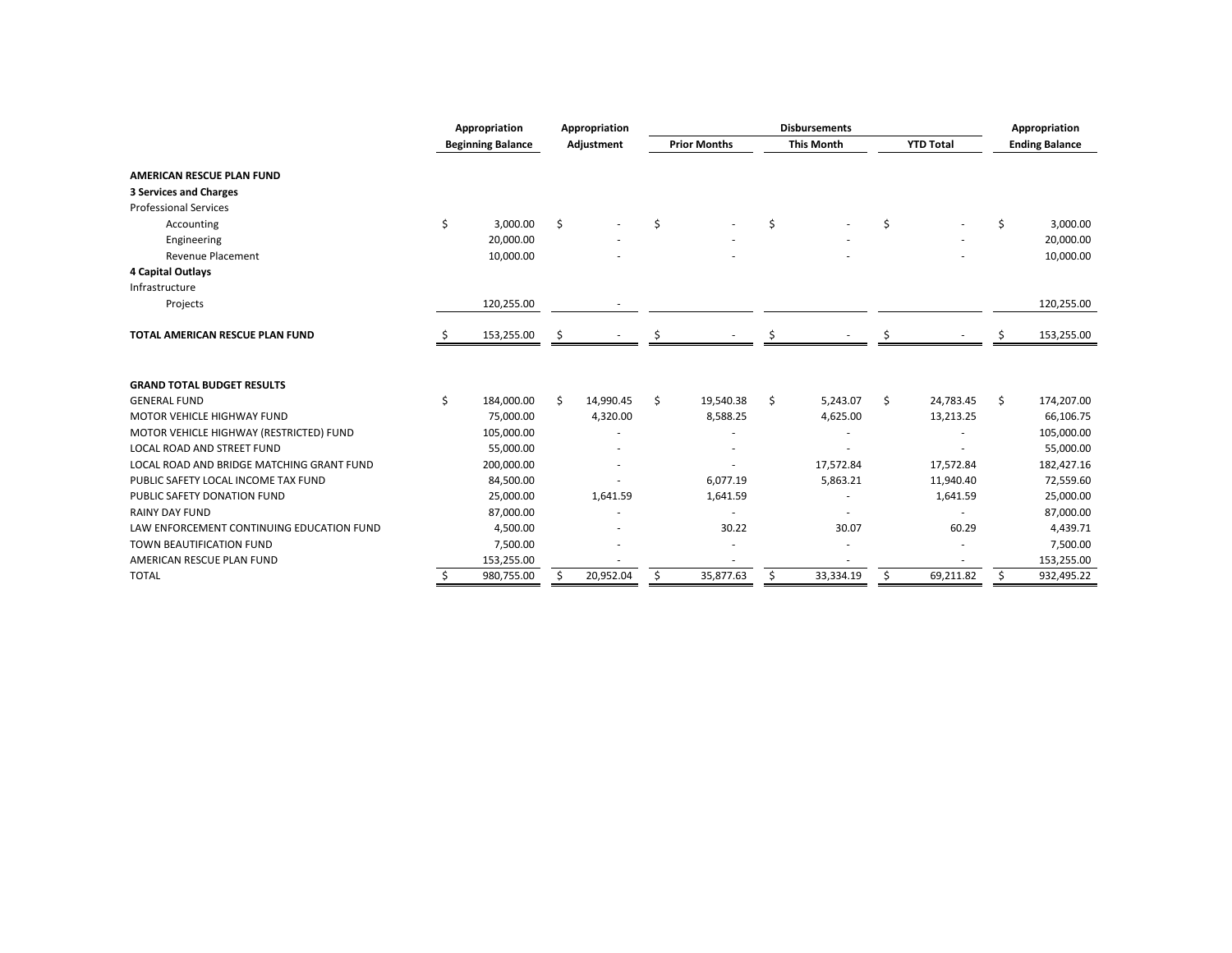|                                           | Appropriation            |     | Appropriation |    |                     | <b>Disbursements</b> |                  | Appropriation         |
|-------------------------------------------|--------------------------|-----|---------------|----|---------------------|----------------------|------------------|-----------------------|
|                                           | <b>Beginning Balance</b> |     | Adjustment    |    | <b>Prior Months</b> | <b>This Month</b>    | <b>YTD Total</b> | <b>Ending Balance</b> |
| <b>AMERICAN RESCUE PLAN FUND</b>          |                          |     |               |    |                     |                      |                  |                       |
| <b>3 Services and Charges</b>             |                          |     |               |    |                     |                      |                  |                       |
| <b>Professional Services</b>              |                          |     |               |    |                     |                      |                  |                       |
| Accounting                                | \$<br>3,000.00           | \$  |               | \$ |                     | \$                   | \$<br>٠          | \$<br>3,000.00        |
| Engineering                               | 20,000.00                |     |               |    |                     |                      |                  | 20,000.00             |
| <b>Revenue Placement</b>                  | 10,000.00                |     |               |    |                     |                      |                  | 10,000.00             |
| 4 Capital Outlays                         |                          |     |               |    |                     |                      |                  |                       |
| Infrastructure                            |                          |     |               |    |                     |                      |                  |                       |
| Projects                                  | 120,255.00               |     |               |    |                     |                      |                  | 120,255.00            |
|                                           |                          |     |               |    |                     |                      |                  |                       |
| TOTAL AMERICAN RESCUE PLAN FUND           | 153,255.00               | \$. |               |    |                     |                      |                  | 153,255.00            |
|                                           |                          |     |               |    |                     |                      |                  |                       |
| <b>GRAND TOTAL BUDGET RESULTS</b>         |                          |     |               |    |                     |                      |                  |                       |
| <b>GENERAL FUND</b>                       | \$<br>184,000.00         | \$  | 14,990.45     | Ś. | 19,540.38           | \$<br>5,243.07       | \$<br>24,783.45  | \$<br>174,207.00      |
| <b>MOTOR VEHICLE HIGHWAY FUND</b>         | 75,000.00                |     | 4,320.00      |    | 8,588.25            | 4,625.00             | 13,213.25        | 66,106.75             |
| MOTOR VEHICLE HIGHWAY (RESTRICTED) FUND   | 105,000.00               |     |               |    |                     |                      |                  | 105,000.00            |
| <b>LOCAL ROAD AND STREET FUND</b>         | 55,000.00                |     |               |    |                     |                      |                  | 55,000.00             |
| LOCAL ROAD AND BRIDGE MATCHING GRANT FUND | 200,000.00               |     |               |    |                     | 17,572.84            | 17,572.84        | 182,427.16            |
| PUBLIC SAFETY LOCAL INCOME TAX FUND       | 84,500.00                |     |               |    | 6,077.19            | 5,863.21             | 11,940.40        | 72,559.60             |
| PUBLIC SAFETY DONATION FUND               | 25,000.00                |     | 1,641.59      |    | 1,641.59            |                      | 1,641.59         | 25,000.00             |
| <b>RAINY DAY FUND</b>                     | 87,000.00                |     |               |    |                     |                      |                  | 87,000.00             |
| LAW ENFORCEMENT CONTINUING EDUCATION FUND | 4,500.00                 |     |               |    | 30.22               | 30.07                | 60.29            | 4,439.71              |
| TOWN BEAUTIFICATION FUND                  | 7,500.00                 |     |               |    |                     |                      |                  | 7,500.00              |
| AMERICAN RESCUE PLAN FUND                 | 153,255.00               |     |               |    |                     |                      |                  | 153,255.00            |
| <b>TOTAL</b>                              | \$<br>980,755.00         | \$  | 20,952.04     | \$ | 35,877.63           | \$<br>33,334.19      | \$<br>69,211.82  | \$<br>932,495.22      |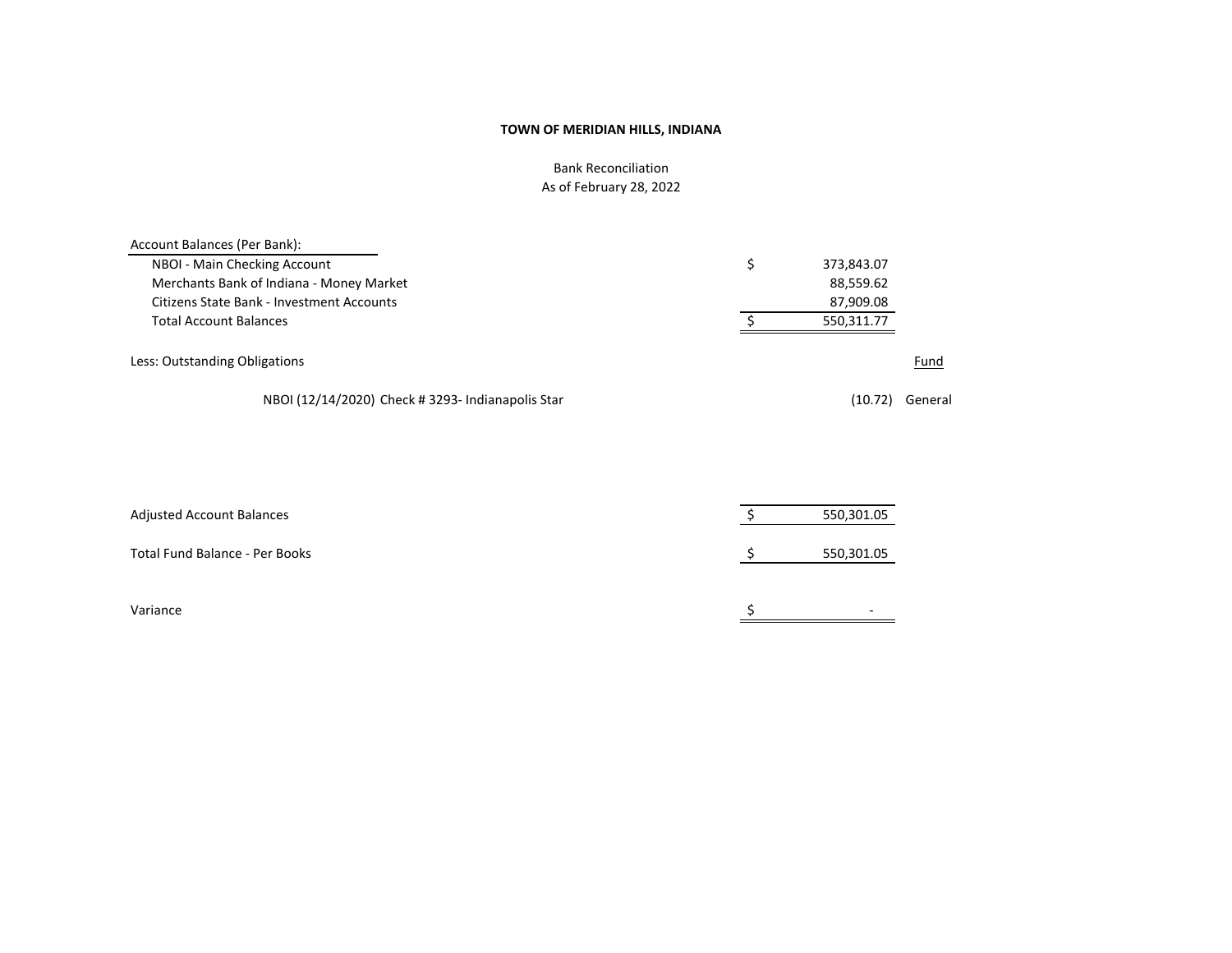# Bank Reconciliation As of February 28, 2022

| Account Balances (Per Bank):                      |            |         |
|---------------------------------------------------|------------|---------|
| NBOI - Main Checking Account                      | 373,843.07 |         |
| Merchants Bank of Indiana - Money Market          | 88,559.62  |         |
| Citizens State Bank - Investment Accounts         | 87,909.08  |         |
| Total Account Balances                            | 550,311.77 |         |
| Less: Outstanding Obligations                     |            | Fund    |
| NBOI (12/14/2020) Check # 3293- Indianapolis Star | (10.72)    | General |

| <b>Adjusted Account Balances</b> | 550,301.05 |
|----------------------------------|------------|
| Total Fund Balance - Per Books   | 550,301.05 |
| Variance                         | -          |